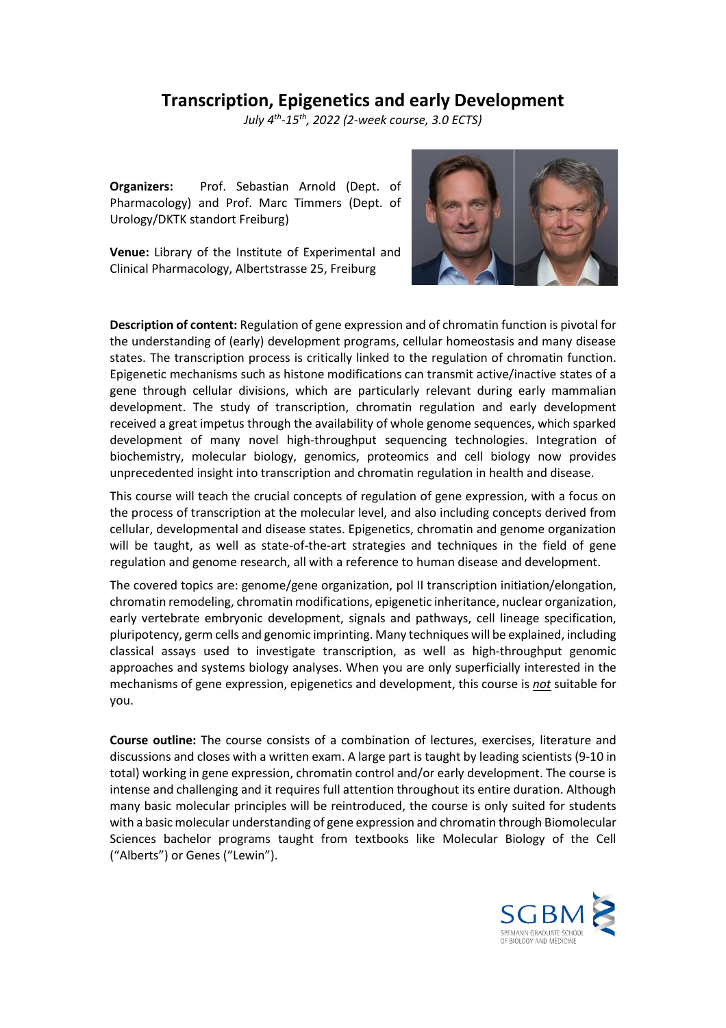## **Transcription, Epigenetics and early Development**

*July 4 th -15th, 2022 (2-week course, 3.0 ECTS)*

**Organizers:** Prof. Sebastian Arnold (Dept. of Pharmacology) and Prof. Marc Timmers (Dept. of Urology/DKTK standort Freiburg)

**Venue:** Library of the Institute of Experimental and Clinical Pharmacology, Albertstrasse 25, Freiburg



**Description of content:** Regulation of gene expression and of chromatin function is pivotal for the understanding of (early) development programs, cellular homeostasis and many disease states. The transcription process is critically linked to the regulation of chromatin function. Epigenetic mechanisms such as histone modifications can transmit active/inactive states of a gene through cellular divisions, which are particularly relevant during early mammalian development. The study of transcription, chromatin regulation and early development received a great impetus through the availability of whole genome sequences, which sparked development of many novel high-throughput sequencing technologies. Integration of biochemistry, molecular biology, genomics, proteomics and cell biology now provides unprecedented insight into transcription and chromatin regulation in health and disease.

This course will teach the crucial concepts of regulation of gene expression, with a focus on the process of transcription at the molecular level, and also including concepts derived from cellular, developmental and disease states. Epigenetics, chromatin and genome organization will be taught, as well as state-of-the-art strategies and techniques in the field of gene regulation and genome research, all with a reference to human disease and development.

The covered topics are: genome/gene organization, pol II transcription initiation/elongation, chromatin remodeling, chromatin modifications, epigenetic inheritance, nuclear organization, early vertebrate embryonic development, signals and pathways, cell lineage specification, pluripotency, germ cells and genomic imprinting. Many techniques will be explained, including classical assays used to investigate transcription, as well as high-throughput genomic approaches and systems biology analyses. When you are only superficially interested in the mechanisms of gene expression, epigenetics and development, this course is *not* suitable for you.

**Course outline:** The course consists of a combination of lectures, exercises, literature and discussions and closes with a written exam. A large part is taught by leading scientists (9-10 in total) working in gene expression, chromatin control and/or early development. The course is intense and challenging and it requires full attention throughout its entire duration. Although many basic molecular principles will be reintroduced, the course is only suited for students with a basic molecular understanding of gene expression and chromatin through Biomolecular Sciences bachelor programs taught from textbooks like Molecular Biology of the Cell ("Alberts") or Genes ("Lewin").